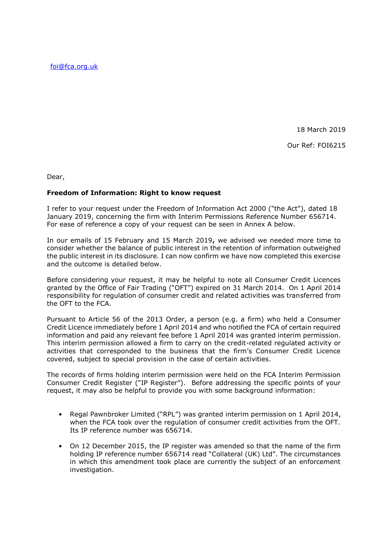[foi@fca.org.uk](mailto:foi@fca.org.uk)

18 March 2019 Our Ref: FOI6215

Dear,

## **Freedom of Information: Right to know request**

I refer to your request under the Freedom of Information Act 2000 ("the Act"), dated 18 January 2019, concerning the firm with Interim Permissions Reference Number 656714. For ease of reference a copy of your request can be seen in Annex A below.

In our emails of 15 February and 15 March 2019**,** we advised we needed more time to consider whether the balance of public interest in the retention of information outweighed the public interest in its disclosure. I can now confirm we have now completed this exercise and the outcome is detailed below.

Before considering your request, it may be helpful to note all Consumer Credit Licences granted by the Office of Fair Trading ("OFT") expired on 31 March 2014. On 1 April 2014 responsibility for regulation of consumer credit and related activities was transferred from the OFT to the FCA.

Pursuant to Article 56 of the 2013 Order, a person (e.g. a firm) who held a Consumer Credit Licence immediately before 1 April 2014 and who notified the FCA of certain required information and paid any relevant fee before 1 April 2014 was granted interim permission. This interim permission allowed a firm to carry on the credit-related regulated activity or activities that corresponded to the business that the firm's Consumer Credit Licence covered, subject to special provision in the case of certain activities.

The records of firms holding interim permission were held on the FCA Interim Permission Consumer Credit Register ("IP Register"). Before addressing the specific points of your request, it may also be helpful to provide you with some background information:

- Regal Pawnbroker Limited ("RPL") was granted interim permission on 1 April 2014, when the FCA took over the regulation of consumer credit activities from the OFT. Its IP reference number was 656714.
- On 12 December 2015, the IP register was amended so that the name of the firm holding IP reference number 656714 read "Collateral (UK) Ltd". The circumstances in which this amendment took place are currently the subject of an enforcement investigation.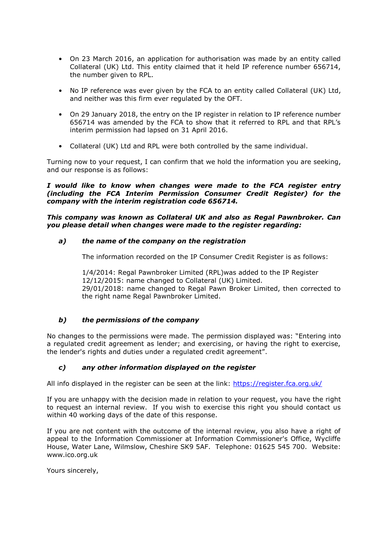- On 23 March 2016, an application for authorisation was made by an entity called Collateral (UK) Ltd. This entity claimed that it held IP reference number 656714, the number given to RPL.
- No IP reference was ever given by the FCA to an entity called Collateral (UK) Ltd, and neither was this firm ever regulated by the OFT.
- On 29 January 2018, the entry on the IP register in relation to IP reference number 656714 was amended by the FCA to show that it referred to RPL and that RPL's interim permission had lapsed on 31 April 2016.
- Collateral (UK) Ltd and RPL were both controlled by the same individual.

Turning now to your request, I can confirm that we hold the information you are seeking, and our response is as follows:

*I would like to know when changes were made to the FCA register entry (including the FCA Interim Permission Consumer Credit Register) for the company with the interim registration code 656714.*

*This company was known as Collateral UK and also as Regal Pawnbroker. Can you please detail when changes were made to the register regarding:*

### *a) the name of the company on the registration*

The information recorded on the IP Consumer Credit Register is as follows:

1/4/2014: Regal Pawnbroker Limited (RPL)was added to the IP Register 12/12/2015: name changed to Collateral (UK) Limited. 29/01/2018: name changed to Regal Pawn Broker Limited, then corrected to the right name Regal Pawnbroker Limited.

## *b) the permissions of the company*

No changes to the permissions were made. The permission displayed was: "Entering into a regulated credit agreement as lender; and exercising, or having the right to exercise, the lender's rights and duties under a regulated credit agreement".

#### *c) any other information displayed on the register*

All info displayed in the register can be seen at the link:<https://register.fca.org.uk/>

If you are unhappy with the decision made in relation to your request, you have the right to request an internal review. If you wish to exercise this right you should contact us within 40 working days of the date of this response.

If you are not content with the outcome of the internal review, you also have a right of appeal to the Information Commissioner at Information Commissioner's Office, Wycliffe House, Water Lane, Wilmslow, Cheshire SK9 5AF. Telephone: 01625 545 700. Website: www.ico.org.uk

Yours sincerely,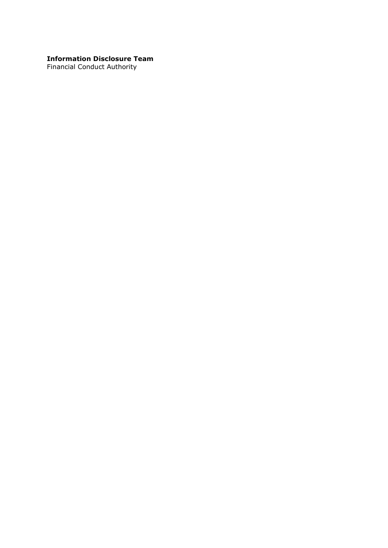# **Information Disclosure Team**

Financial Conduct Authority